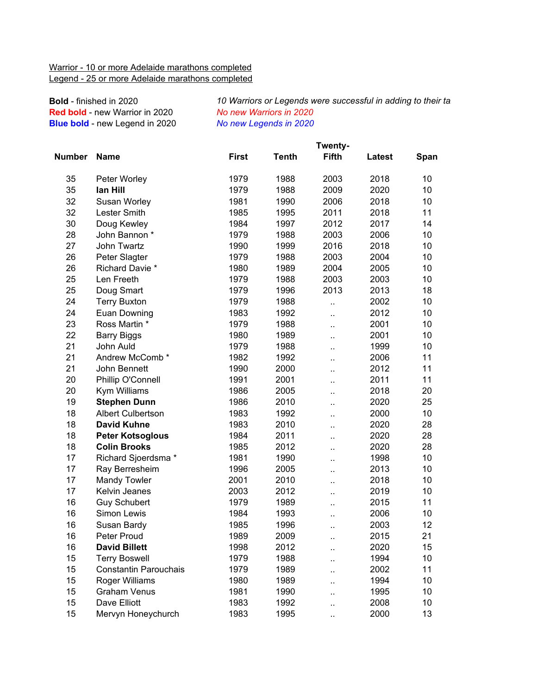## Warrior - 10 or more Adelaide marathons completed Legend - 25 or more Adelaide marathons completed

**Bold** - finished in 2020 **Red bold** - new Warrior in 2020 **Blue bold** - new Legend in 2020

10 Warriors or Legends were successful in adding to their tall *No new Warriors in 2020 No new Legends in 2020*

|        |                              | Twenty-      |              |                      |        |      |  |  |
|--------|------------------------------|--------------|--------------|----------------------|--------|------|--|--|
| Number | <b>Name</b>                  | <b>First</b> | <b>Tenth</b> | <b>Fifth</b>         | Latest | Span |  |  |
| 35     | Peter Worley                 | 1979         | 1988         | 2003                 | 2018   | 10   |  |  |
| 35     | lan Hill                     | 1979         | 1988         | 2009                 | 2020   | 10   |  |  |
| 32     | Susan Worley                 | 1981         | 1990         | 2006                 | 2018   | 10   |  |  |
| 32     | Lester Smith                 | 1985         | 1995         | 2011                 | 2018   | 11   |  |  |
| 30     | Doug Kewley                  | 1984         | 1997         | 2012                 | 2017   | 14   |  |  |
| 28     | John Bannon *                | 1979         | 1988         | 2003                 | 2006   | 10   |  |  |
| 27     | John Twartz                  | 1990         | 1999         | 2016                 | 2018   | 10   |  |  |
| 26     | Peter Slagter                | 1979         | 1988         | 2003                 | 2004   | 10   |  |  |
| 26     | Richard Davie *              | 1980         | 1989         | 2004                 | 2005   | 10   |  |  |
| 25     | Len Freeth                   | 1979         | 1988         | 2003                 | 2003   | 10   |  |  |
| 25     | Doug Smart                   | 1979         | 1996         | 2013                 | 2013   | 18   |  |  |
| 24     | <b>Terry Buxton</b>          | 1979         | 1988         | Ω.                   | 2002   | 10   |  |  |
| 24     | Euan Downing                 | 1983         | 1992         | ä.                   | 2012   | 10   |  |  |
| 23     | Ross Martin *                | 1979         | 1988         | ä.                   | 2001   | 10   |  |  |
| 22     | <b>Barry Biggs</b>           | 1980         | 1989         |                      | 2001   | 10   |  |  |
| 21     | John Auld                    | 1979         | 1988         | ٠.                   | 1999   | 10   |  |  |
| 21     | Andrew McComb*               | 1982         | 1992         | ٠.                   | 2006   | 11   |  |  |
| 21     | John Bennett                 | 1990         | 2000         | ٠.                   | 2012   | 11   |  |  |
| 20     | Phillip O'Connell            | 1991         | 2001         | $\ddot{\phantom{a}}$ | 2011   | 11   |  |  |
| 20     | Kym Williams                 | 1986         | 2005         | ٠.                   | 2018   | 20   |  |  |
| 19     | <b>Stephen Dunn</b>          | 1986         | 2010         | ٠.                   | 2020   | 25   |  |  |
| 18     | <b>Albert Culbertson</b>     | 1983         | 1992         | Ω.                   | 2000   | 10   |  |  |
| 18     | <b>David Kuhne</b>           | 1983         | 2010         | $\ddot{\phantom{a}}$ | 2020   | 28   |  |  |
| 18     | <b>Peter Kotsoglous</b>      | 1984         | 2011         | ٠.                   | 2020   | 28   |  |  |
| 18     | <b>Colin Brooks</b>          | 1985         | 2012         | $\ddot{\phantom{a}}$ | 2020   | 28   |  |  |
| 17     | Richard Sjoerdsma *          | 1981         | 1990         | ٠.                   | 1998   | 10   |  |  |
| 17     | Ray Berresheim               | 1996         | 2005         | $\ddot{\phantom{a}}$ | 2013   | 10   |  |  |
| 17     | <b>Mandy Towler</b>          | 2001         | 2010         | ٠.                   | 2018   | 10   |  |  |
| 17     | Kelvin Jeanes                | 2003         | 2012         | ٠.                   | 2019   | 10   |  |  |
| 16     | <b>Guy Schubert</b>          | 1979         | 1989         | Ω.                   | 2015   | 11   |  |  |
| 16     | Simon Lewis                  | 1984         | 1993         | ٠.                   | 2006   | 10   |  |  |
| 16     | Susan Bardy                  | 1985         | 1996         | ٠.                   | 2003   | 12   |  |  |
| 16     | <b>Peter Proud</b>           | 1989         | 2009         | ٠.                   | 2015   | 21   |  |  |
| 16     | <b>David Billett</b>         | 1998         | 2012         |                      | 2020   | 15   |  |  |
| 15     | <b>Terry Boswell</b>         | 1979         | 1988         |                      | 1994   | 10   |  |  |
| 15     | <b>Constantin Parouchais</b> | 1979         | 1989         |                      | 2002   | 11   |  |  |
| 15     | Roger Williams               | 1980         | 1989         | ٠.                   | 1994   | 10   |  |  |
| 15     | <b>Graham Venus</b>          | 1981         | 1990         |                      | 1995   | 10   |  |  |
| 15     | Dave Elliott                 | 1983         | 1992         | ٠.                   | 2008   | 10   |  |  |
| 15     | Mervyn Honeychurch           | 1983         | 1995         |                      | 2000   | 13   |  |  |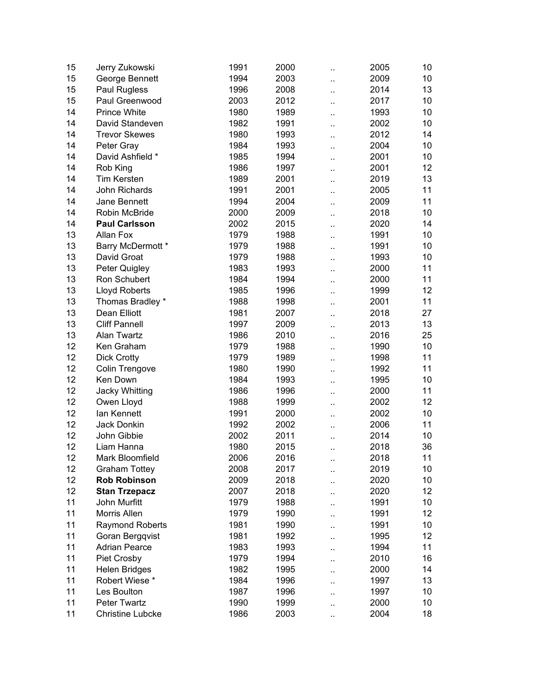| 15 | Jerry Zukowski                              | 1991         | 2000 | $\ddot{\phantom{a}}$       | 2005 | 10 |
|----|---------------------------------------------|--------------|------|----------------------------|------|----|
| 15 | George Bennett                              | 1994         | 2003 | ٠.                         | 2009 | 10 |
| 15 | Paul Rugless                                | 1996         | 2008 | ä.                         | 2014 | 13 |
| 15 | Paul Greenwood                              | 2003         | 2012 | Ω.                         | 2017 | 10 |
| 14 | <b>Prince White</b>                         | 1980         | 1989 | ٠.                         | 1993 | 10 |
| 14 | David Standeven                             | 1982         | 1991 | ٠.                         | 2002 | 10 |
| 14 | <b>Trevor Skewes</b>                        | 1980         | 1993 | ٠.                         | 2012 | 14 |
| 14 | Peter Gray                                  | 1984         | 1993 | ٠.                         | 2004 | 10 |
| 14 | David Ashfield *                            | 1985         | 1994 | $\ddot{\phantom{a}}$       | 2001 | 10 |
| 14 | Rob King                                    | 1986         | 1997 | ٠.                         | 2001 | 12 |
| 14 | <b>Tim Kersten</b>                          | 1989         | 2001 | ٠.                         | 2019 | 13 |
| 14 | John Richards                               | 1991         | 2001 | ٠.                         | 2005 | 11 |
| 14 | Jane Bennett                                | 1994         | 2004 | ٠.                         | 2009 | 11 |
| 14 | Robin McBride                               | 2000         | 2009 |                            | 2018 | 10 |
| 14 | <b>Paul Carlsson</b>                        | 2002         | 2015 | ٠.                         | 2020 | 14 |
| 13 | Allan Fox                                   | 1979         | 1988 |                            | 1991 | 10 |
| 13 | Barry McDermott *                           | 1979         | 1988 | $\ddot{\phantom{a}}$       | 1991 | 10 |
| 13 | David Groat                                 | 1979         | 1988 |                            | 1993 | 10 |
| 13 | Peter Quigley                               | 1983         | 1993 | Ω.                         | 2000 | 11 |
| 13 | Ron Schubert                                | 1984         | 1994 | ٠.                         | 2000 | 11 |
| 13 | <b>Lloyd Roberts</b>                        | 1985         | 1996 |                            | 1999 | 12 |
| 13 | Thomas Bradley *                            | 1988         | 1998 | ٠.                         | 2001 | 11 |
| 13 | Dean Elliott                                | 1981         | 2007 | ٠.                         | 2018 | 27 |
| 13 | <b>Cliff Pannell</b>                        | 1997         | 2009 | ٠.                         | 2013 | 13 |
| 13 | <b>Alan Twartz</b>                          | 1986         | 2010 | ٠.                         | 2016 | 25 |
| 12 | Ken Graham                                  | 1979         | 1988 | ٠.<br>$\ddot{\phantom{a}}$ | 1990 | 10 |
| 12 | <b>Dick Crotty</b>                          | 1979         | 1989 |                            | 1998 | 11 |
| 12 | Colin Trengove                              | 1980         | 1990 | ٠.                         | 1992 | 11 |
| 12 | Ken Down                                    | 1984         | 1993 | Ω.                         | 1995 | 10 |
| 12 | Jacky Whitting                              | 1986         | 1996 | ٠.                         | 2000 | 11 |
| 12 | Owen Lloyd                                  | 1988         | 1999 | $\ddot{\phantom{a}}$       | 2002 | 12 |
| 12 | lan Kennett                                 | 1991         | 2000 | ٠.                         | 2002 | 10 |
| 12 | Jack Donkin                                 | 1992         | 2002 | $\ddot{\phantom{a}}$       | 2006 | 11 |
| 12 | John Gibbie                                 | 2002         | 2011 |                            | 2014 | 10 |
| 12 | Liam Hanna                                  | 1980         | 2015 | $\ddot{\phantom{a}}$       | 2018 | 36 |
| 12 | Mark Bloomfield                             |              | 2016 | ٠.                         | 2018 | 11 |
| 12 |                                             | 2006<br>2008 | 2017 |                            | 2019 | 10 |
| 12 | <b>Graham Tottey</b><br><b>Rob Robinson</b> |              |      |                            |      |    |
|    |                                             | 2009<br>2007 | 2018 | $\ddot{\phantom{a}}$       | 2020 | 10 |
| 12 | <b>Stan Trzepacz</b>                        |              | 2018 |                            | 2020 | 12 |
| 11 | John Murfitt                                | 1979         | 1988 | $\ddot{\phantom{a}}$       | 1991 | 10 |
| 11 | Morris Allen                                | 1979         | 1990 |                            | 1991 | 12 |
| 11 | <b>Raymond Roberts</b>                      | 1981         | 1990 | . .                        | 1991 | 10 |
| 11 | Goran Bergqvist                             | 1981         | 1992 |                            | 1995 | 12 |
| 11 | <b>Adrian Pearce</b>                        | 1983         | 1993 | ٠.                         | 1994 | 11 |
| 11 | Piet Crosby                                 | 1979         | 1994 |                            | 2010 | 16 |
| 11 | <b>Helen Bridges</b>                        | 1982         | 1995 | ٠.                         | 2000 | 14 |
| 11 | Robert Wiese*                               | 1984         | 1996 |                            | 1997 | 13 |
| 11 | Les Boulton                                 | 1987         | 1996 |                            | 1997 | 10 |
| 11 | <b>Peter Twartz</b>                         | 1990         | 1999 | .,                         | 2000 | 10 |
| 11 | <b>Christine Lubcke</b>                     | 1986         | 2003 | ٠.                         | 2004 | 18 |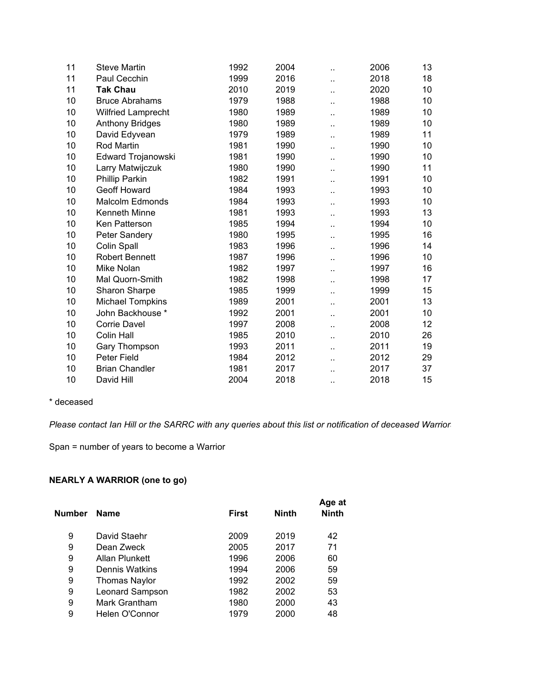| 11 | <b>Steve Martin</b>       | 1992 | 2004 | ٠.                   | 2006 | 13 |
|----|---------------------------|------|------|----------------------|------|----|
| 11 | Paul Cecchin              | 1999 | 2016 |                      | 2018 | 18 |
| 11 | <b>Tak Chau</b>           | 2010 | 2019 | $\ddot{\phantom{a}}$ | 2020 | 10 |
| 10 | <b>Bruce Abrahams</b>     | 1979 | 1988 |                      | 1988 | 10 |
| 10 | <b>Wilfried Lamprecht</b> | 1980 | 1989 |                      | 1989 | 10 |
| 10 | <b>Anthony Bridges</b>    | 1980 | 1989 | $\ddot{\phantom{a}}$ | 1989 | 10 |
| 10 | David Edyvean             | 1979 | 1989 | ٠.                   | 1989 | 11 |
| 10 | Rod Martin                | 1981 | 1990 | ٠.                   | 1990 | 10 |
| 10 | Edward Trojanowski        | 1981 | 1990 | ٠.                   | 1990 | 10 |
| 10 | Larry Matwijczuk          | 1980 | 1990 | ٠.                   | 1990 | 11 |
| 10 | Phillip Parkin            | 1982 | 1991 | ٠.                   | 1991 | 10 |
| 10 | Geoff Howard              | 1984 | 1993 | ٠.                   | 1993 | 10 |
| 10 | <b>Malcolm Edmonds</b>    | 1984 | 1993 |                      | 1993 | 10 |
| 10 | Kenneth Minne             | 1981 | 1993 |                      | 1993 | 13 |
| 10 | Ken Patterson             | 1985 | 1994 | ٠.                   | 1994 | 10 |
| 10 | Peter Sandery             | 1980 | 1995 |                      | 1995 | 16 |
| 10 | Colin Spall               | 1983 | 1996 | ٠.                   | 1996 | 14 |
| 10 | <b>Robert Bennett</b>     | 1987 | 1996 |                      | 1996 | 10 |
| 10 | Mike Nolan                | 1982 | 1997 | ٠.                   | 1997 | 16 |
| 10 | Mal Quorn-Smith           | 1982 | 1998 |                      | 1998 | 17 |
| 10 | Sharon Sharpe             | 1985 | 1999 | ٠.                   | 1999 | 15 |
| 10 | <b>Michael Tompkins</b>   | 1989 | 2001 | ٠.                   | 2001 | 13 |
| 10 | John Backhouse *          | 1992 | 2001 |                      | 2001 | 10 |
| 10 | <b>Corrie Davel</b>       | 1997 | 2008 | ٠.                   | 2008 | 12 |
| 10 | <b>Colin Hall</b>         | 1985 | 2010 |                      | 2010 | 26 |
| 10 | Gary Thompson             | 1993 | 2011 |                      | 2011 | 19 |
| 10 | Peter Field               | 1984 | 2012 | ٠.                   | 2012 | 29 |
| 10 | <b>Brian Chandler</b>     | 1981 | 2017 |                      | 2017 | 37 |
| 10 | David Hill                | 2004 | 2018 | ٠.                   | 2018 | 15 |

## \* deceased

*Please contact Ian Hill or the SARRC with any queries about this list or notification of deceased Warriors.*

Span = number of years to become a Warrior

## **NEARLY A WARRIOR (one to go)**

| Number | <b>Name</b>          | <b>First</b> | <b>Ninth</b> | Age at<br><b>Ninth</b> |
|--------|----------------------|--------------|--------------|------------------------|
| 9      | David Staehr         | 2009         | 2019         | 42                     |
| 9      | Dean Zweck           | 2005         | 2017         | 71                     |
| 9      | Allan Plunkett       | 1996         | 2006         | 60                     |
| 9      | Dennis Watkins       | 1994         | 2006         | 59                     |
| 9      | <b>Thomas Naylor</b> | 1992         | 2002         | 59                     |
| 9      | Leonard Sampson      | 1982         | 2002         | 53                     |
| 9      | Mark Grantham        | 1980         | 2000         | 43                     |
| 9      | Helen O'Connor       | 1979         | 2000         | 48                     |
|        |                      |              |              |                        |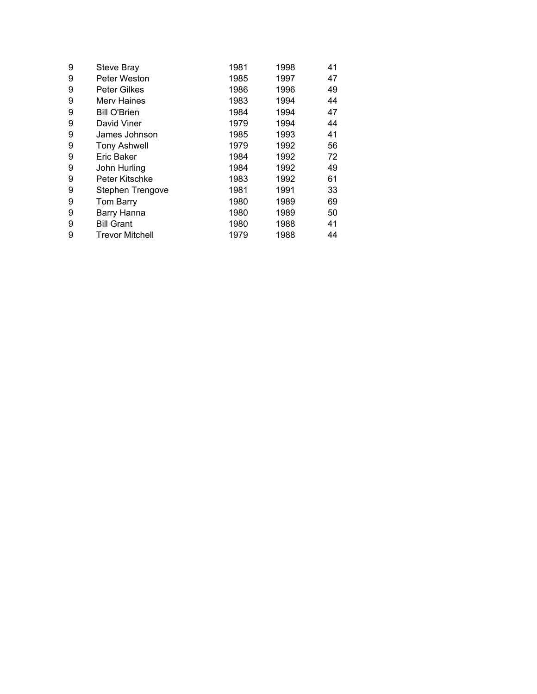| 9 | Steve Bray             | 1981 | 1998 | 41 |
|---|------------------------|------|------|----|
| 9 | Peter Weston           | 1985 | 1997 | 47 |
| 9 | <b>Peter Gilkes</b>    | 1986 | 1996 | 49 |
| 9 | Merv Haines            | 1983 | 1994 | 44 |
| 9 | <b>Bill O'Brien</b>    | 1984 | 1994 | 47 |
| 9 | David Viner            | 1979 | 1994 | 44 |
| 9 | James Johnson          | 1985 | 1993 | 41 |
| 9 | <b>Tony Ashwell</b>    | 1979 | 1992 | 56 |
| 9 | Eric Baker             | 1984 | 1992 | 72 |
| 9 | John Hurling           | 1984 | 1992 | 49 |
| 9 | Peter Kitschke         | 1983 | 1992 | 61 |
| 9 | Stephen Trengove       | 1981 | 1991 | 33 |
| 9 | Tom Barry              | 1980 | 1989 | 69 |
| 9 | Barry Hanna            | 1980 | 1989 | 50 |
| 9 | <b>Bill Grant</b>      | 1980 | 1988 | 41 |
| 9 | <b>Trevor Mitchell</b> | 1979 | 1988 | 44 |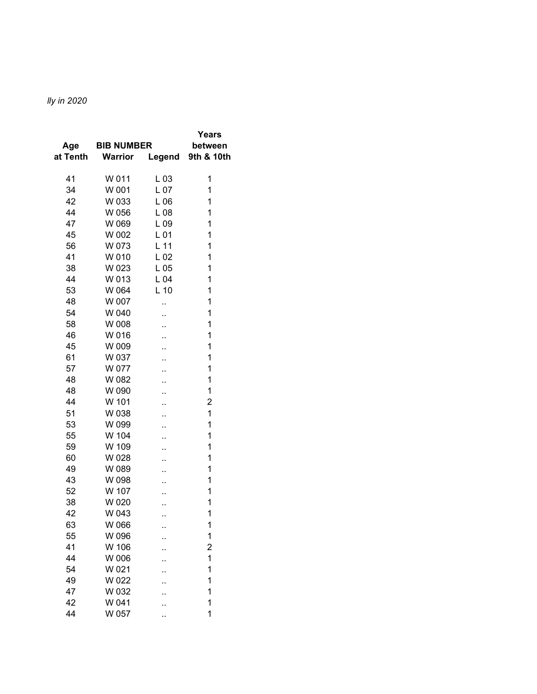## *10 Warriors or Legends were successful in adding to their tally in 2020*

| Age      | <b>BIB NUMBER</b> |                 | Years<br>between |
|----------|-------------------|-----------------|------------------|
| at Tenth | <b>Warrior</b>    | Legend          | 9th & 10th       |
| 41       | W 011             | $L_{03}$        | 1                |
| 34       | W 001             | L <sub>07</sub> | 1                |
| 42       | W 033             | L06             | 1                |
| 44       | W 056             | L08             | 1                |
| 47       | W 069             | L09             | 1                |
| 45       | W 002             | L <sub>01</sub> | 1                |
| 56       | W 073             | L <sub>11</sub> | 1                |
| 41       | W 010             | L <sub>02</sub> | 1                |
| 38       | W 023             | L05             | 1                |
| 44       | W 013             | L04             | 1                |
| 53       | W 064             | $L$ 10          | 1                |
| 48       | W 007             |                 | 1                |
| 54       | W 040             | ٠.              | 1                |
| 58       | W 008             | ٠.              | 1                |
| 46       | W 016             | ٠.              | 1                |
| 45       | W 009             | ٠.              | 1                |
| 61       | W 037             | ٠.              | 1                |
| 57       | W 077             | .,              | 1                |
| 48       | W 082             | ٠.              | 1                |
| 48       | W 090             | ٠.              | 1                |
| 44       | W 101             | ٠.              | $\overline{c}$   |
| 51       | W 038             | ٠.              | 1                |
| 53       | W 099             | ٠.              | 1                |
| 55       | W 104             |                 | 1                |
| 59       | W 109             | ٠.              | 1                |
| 60       | W 028             | ٠.              | 1                |
| 49       | W 089             | ٠.              | 1                |
| 43       | W 098             | ٠.              | 1                |
| 52       | W 107             | . .             | 1                |
| 38       | W 020             | ٠.              | 1                |
| 42       | W 043             |                 | 1                |
| 63       | W 066             |                 | 1                |
| 55       | W 096             |                 | 1                |
| 41       | W 106             |                 | $\overline{c}$   |
| 44       | W 006             |                 | 1                |
| 54       | W 021             |                 | 1                |
| 49       | W 022             |                 | 1                |
| 47       | W 032             |                 | 1                |
| 42       | W 041             |                 | 1                |
| 44       | W 057             |                 | 1                |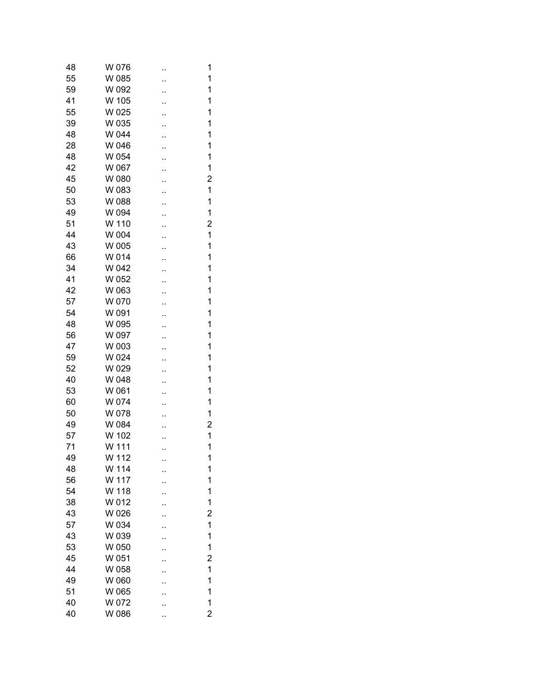| 48 | W 076 | 1              |
|----|-------|----------------|
| 55 | W 085 | 1              |
| 59 | W 092 | 1              |
| 41 | W 105 | 1              |
| 55 | W 025 | 1              |
| 39 | W 035 | 1              |
| 48 | W 044 | 1              |
| 28 | W 046 | 1              |
| 48 | W 054 | 1              |
| 42 | W 067 | 1              |
| 45 | W 080 | $\overline{c}$ |
| 50 | W 083 | $\mathbf 1$    |
| 53 | W 088 | 1              |
| 49 | W 094 | 1              |
| 51 | W 110 | $\overline{c}$ |
| 44 | W 004 | $\mathbf 1$    |
| 43 | W 005 | 1              |
| 66 | W 014 | 1              |
| 34 | W 042 | 1              |
| 41 | W 052 | 1              |
| 42 | W 063 | 1              |
| 57 | W 070 | 1              |
| 54 | W 091 | 1              |
| 48 | W 095 | 1              |
| 56 | W 097 | 1              |
| 47 | W 003 | 1              |
| 59 | W 024 | 1              |
| 52 | W 029 | 1              |
| 40 | W 048 | 1              |
| 53 | W 061 | 1              |
| 60 | W 074 | 1              |
| 50 | W 078 | 1              |
| 49 | W 084 | $\overline{c}$ |
| 57 | W 102 | $\mathbf{1}$   |
| 71 | W 111 | $\overline{1}$ |
| 49 | W 112 | 1              |
| 48 | W 114 | <br>1          |
| 56 | W 117 | 1              |
| 54 | W 118 | 1              |
| 38 | W 012 | 1              |
| 43 | W 026 | $\overline{c}$ |
| 57 | W 034 | 1              |
| 43 | W 039 | 1              |
| 53 | W 050 | 1              |
| 45 | W 051 | $\overline{c}$ |
| 44 | W 058 | 1              |
| 49 | W 060 | 1              |
| 51 | W 065 | 1              |
| 40 | W 072 | 1              |
| 40 | W 086 | $\overline{2}$ |
|    |       |                |